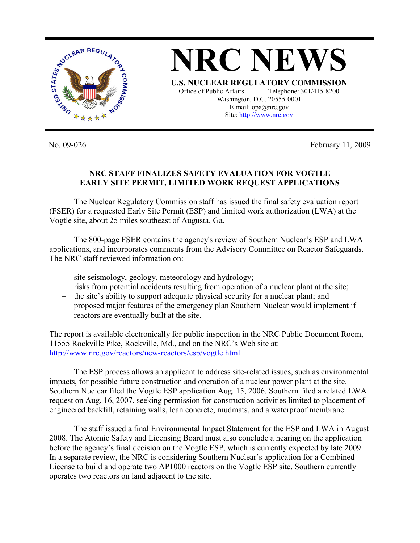

No. 09-026 February 11, 2009

## **NRC STAFF FINALIZES SAFETY EVALUATION FOR VOGTLE EARLY SITE PERMIT, LIMITED WORK REQUEST APPLICATIONS**

The Nuclear Regulatory Commission staff has issued the final safety evaluation report (FSER) for a requested Early Site Permit (ESP) and limited work authorization (LWA) at the Vogtle site, about 25 miles southeast of Augusta, Ga.

The 800-page FSER contains the agency's review of Southern Nuclear's ESP and LWA applications, and incorporates comments from the Advisory Committee on Reactor Safeguards. The NRC staff reviewed information on:

- site seismology, geology, meteorology and hydrology;
- risks from potential accidents resulting from operation of a nuclear plant at the site;
- the site's ability to support adequate physical security for a nuclear plant; and
- proposed major features of the emergency plan Southern Nuclear would implement if reactors are eventually built at the site.

The report is available electronically for public inspection in the NRC Public Document Room, 11555 Rockville Pike, Rockville, Md., and on the NRC's Web site at: http://www.nrc.gov/reactors/new-reactors/esp/vogtle.html.

The ESP process allows an applicant to address site-related issues, such as environmental impacts, for possible future construction and operation of a nuclear power plant at the site. Southern Nuclear filed the Vogtle ESP application Aug. 15, 2006. Southern filed a related LWA request on Aug. 16, 2007, seeking permission for construction activities limited to placement of engineered backfill, retaining walls, lean concrete, mudmats, and a waterproof membrane.

The staff issued a final Environmental Impact Statement for the ESP and LWA in August 2008. The Atomic Safety and Licensing Board must also conclude a hearing on the application before the agency's final decision on the Vogtle ESP, which is currently expected by late 2009. In a separate review, the NRC is considering Southern Nuclear's application for a Combined License to build and operate two AP1000 reactors on the Vogtle ESP site. Southern currently operates two reactors on land adjacent to the site.